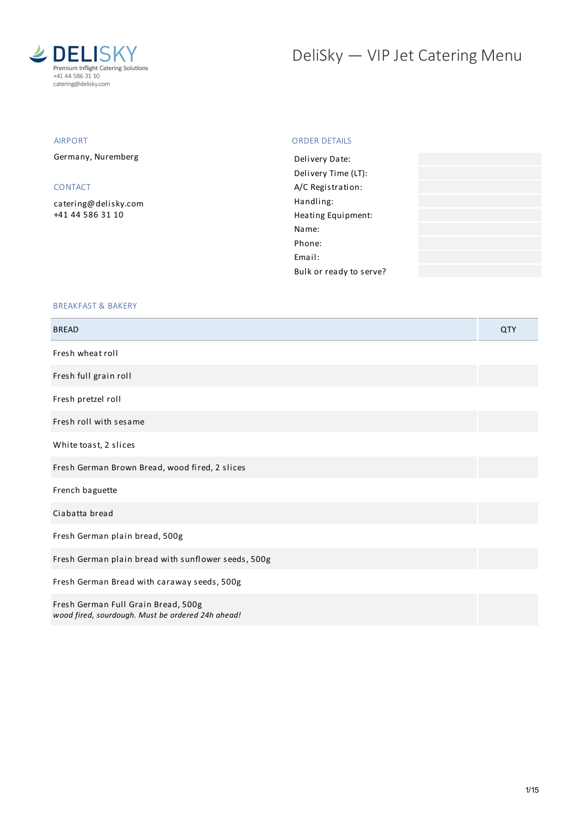

# DeliSky - VIP Jet Catering Menu

# AIRPORT

Germany, Nuremberg

# CONTACT

[catering@delisky.com](mailto:catering@delisky.com) +41 44 586 31 10

## ORDER DETAILS

| Delivery Date:          |  |
|-------------------------|--|
| Delivery Time (LT):     |  |
| A/C Registration:       |  |
| Handling:               |  |
| Heating Equipment:      |  |
| Name:                   |  |
| Phone:                  |  |
| Fmail:                  |  |
| Bulk or ready to serve? |  |
|                         |  |

## BREAKFAST & BAKERY

| <b>BREAD</b>                                                                             | QTY |
|------------------------------------------------------------------------------------------|-----|
| Fresh wheat roll                                                                         |     |
| Fresh full grain roll                                                                    |     |
| Fresh pretzel roll                                                                       |     |
| Fresh roll with sesame                                                                   |     |
| White toast, 2 slices                                                                    |     |
| Fresh German Brown Bread, wood fired, 2 slices                                           |     |
| French baguette                                                                          |     |
| Ciabatta bread                                                                           |     |
| Fresh German plain bread, 500g                                                           |     |
| Fresh German plain bread with sunflower seeds, 500g                                      |     |
| Fresh German Bread with caraway seeds, 500g                                              |     |
| Fresh German Full Grain Bread, 500g<br>wood fired, sourdough. Must be ordered 24h ahead! |     |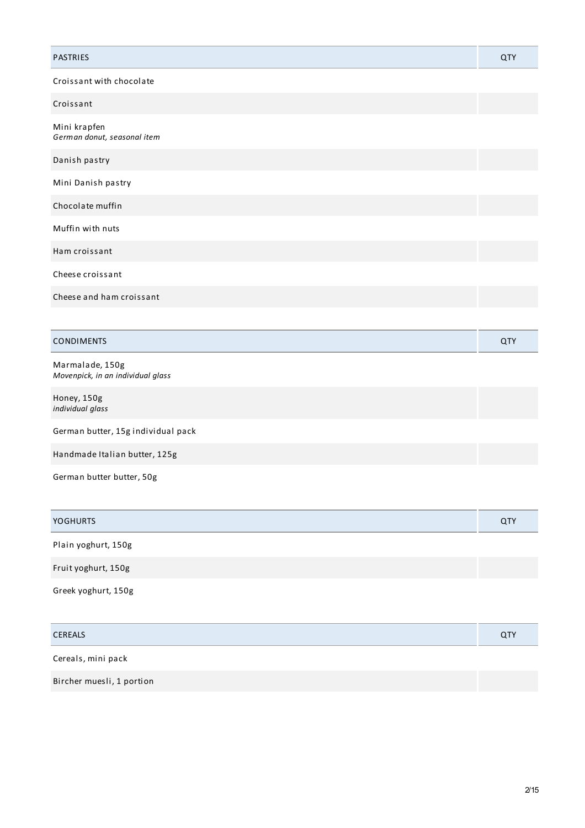| PASTRIES                                             | QTY |
|------------------------------------------------------|-----|
| Croissant with chocolate                             |     |
| Croissant                                            |     |
| Mini krapfen<br>German donut, seasonal item          |     |
| Danish pastry                                        |     |
| Mini Danish pastry                                   |     |
| Chocolate muffin                                     |     |
| Muffin with nuts                                     |     |
| Ham croissant                                        |     |
| Cheese croissant                                     |     |
| Cheese and ham croissant                             |     |
|                                                      |     |
| <b>CONDIMENTS</b>                                    | QTY |
| Marmalade, 150g<br>Movenpick, in an individual glass |     |
| Honey, 150g<br>individual glass                      |     |
| German butter, 15g individual pack                   |     |
| Handmade Italian butter, 125g                        |     |

| German butter butter, 50g |  |
|---------------------------|--|
|---------------------------|--|

| <b>YOGHURTS</b>     | QTY |
|---------------------|-----|
| Plain yoghurt, 150g |     |
| Fruit yoghurt, 150g |     |
| Greek yoghurt, 150g |     |

| <b>CEREALS</b>            | <b>QTY</b> |
|---------------------------|------------|
| Cereals, mini pack        |            |
| Bircher muesli, 1 portion |            |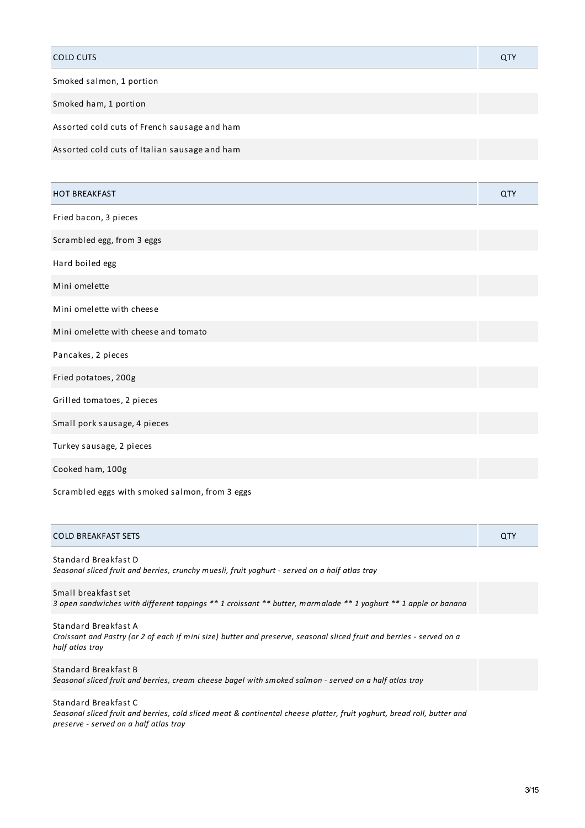| <b>COLD CUTS</b>                                                                                                                                                                                                                          | QTY |
|-------------------------------------------------------------------------------------------------------------------------------------------------------------------------------------------------------------------------------------------|-----|
| Smoked salmon, 1 portion                                                                                                                                                                                                                  |     |
| Smoked ham, 1 portion                                                                                                                                                                                                                     |     |
| Assorted cold cuts of French sausage and ham                                                                                                                                                                                              |     |
| Assorted cold cuts of Italian sausage and ham                                                                                                                                                                                             |     |
|                                                                                                                                                                                                                                           |     |
| <b>HOT BREAKFAST</b>                                                                                                                                                                                                                      | QTY |
| Fried bacon, 3 pieces                                                                                                                                                                                                                     |     |
| Scrambled egg, from 3 eggs                                                                                                                                                                                                                |     |
| Hard boiled egg                                                                                                                                                                                                                           |     |
| Mini omelette                                                                                                                                                                                                                             |     |
| Mini omelette with cheese                                                                                                                                                                                                                 |     |
| Mini omelette with cheese and tomato                                                                                                                                                                                                      |     |
| Pancakes, 2 pieces                                                                                                                                                                                                                        |     |
| Fried potatoes, 200g                                                                                                                                                                                                                      |     |
| Grilled tomatoes, 2 pieces                                                                                                                                                                                                                |     |
| Small pork sausage, 4 pieces                                                                                                                                                                                                              |     |
| Turkey sausage, 2 pieces                                                                                                                                                                                                                  |     |
| Cooked ham, 100g                                                                                                                                                                                                                          |     |
| $\sim$ . The contract of the contract of the contract of the contract of the contract of the contract of the contract of the contract of the contract of the contract of the contract of the contract of the contract of the co<br>$\sim$ |     |

Scrambled eggs with smoked salmon, from 3 eggs

| <b>COLD BREAKFAST SETS</b>                                                                                                             | <b>QTY</b> |
|----------------------------------------------------------------------------------------------------------------------------------------|------------|
| Standard Breakfast D<br>Seasonal sliced fruit and berries, crunchy muesli, fruit yoghurt - served on a half atlas tray                 |            |
| Small breakfast set<br>3 open sandwiches with different toppings ** 1 croissant ** butter, marmalade ** 1 yoghurt ** 1 apple or banana |            |

Standard Breakfast A Croissant and Pastry (or 2 of each if mini size) butter and preserve, seasonal sliced fruit and berries - served on a *half atlas tray*

Standard Breakfast B Seasonal sliced fruit and berries, cream cheese bagel with smoked salmon - served on a half atlas tray

Standard Breakfast C Seasonal sliced fruit and berries, cold sliced meat & continental cheese platter, fruit yoghurt, bread roll, butter and *preserve - served on a half atlas tray*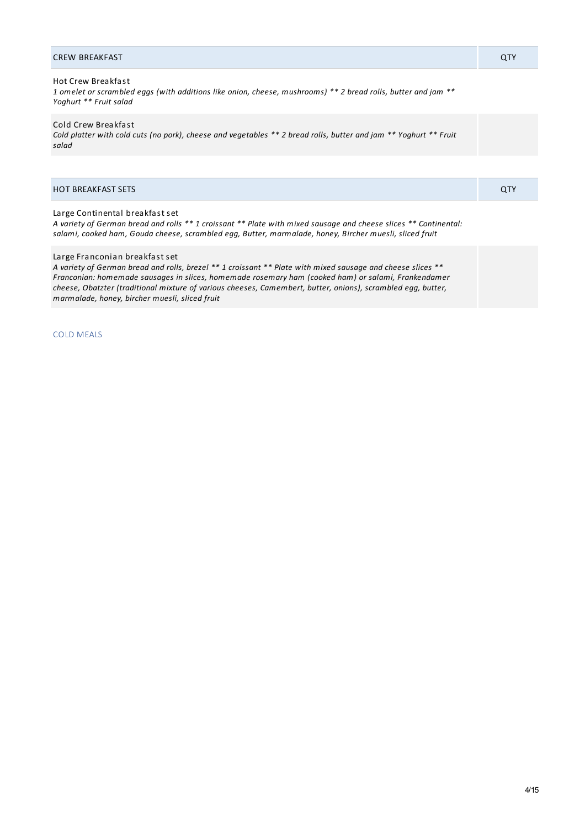## CREW BREAKFAST QTY

# Hot Crew Breakfast

1 omelet or scrambled eggs (with additions like onion, cheese, mushrooms) \*\* 2 bread rolls, butter and jam \*\* *Yoghurt \*\* Fruit salad*

#### Cold Crew Breakfast

Cold platter with cold cuts (no pork), cheese and vegetables \*\* 2 bread rolls, butter and jam \*\* Yoghurt \*\* Fruit *salad*

| <b>HOT BREAKFAST SETS</b> |  |
|---------------------------|--|

#### Large Continental breakfast set

A variety of German bread and rolls \*\* 1 croissant \*\* Plate with mixed sausage and cheese slices \*\* Continental: *salami, cooked ham, Gouda cheese, scrambled egg, Butter, marmalade, honey, Bircher muesli, sliced fruit*

#### Large Franconian breakfast set

A variety of German bread and rolls, brezel \*\* 1 croissant \*\* Plate with mixed sausage and cheese slices \*\* *Franconian: homemade sausages in slices, homemade rosemary ham (cooked ham) or salami, Frankendamer cheese, Obatzter (traditional mixture of various cheeses, Camembert, butter, onions), scrambled egg, butter, marmalade, honey, bircher muesli, sliced fruit*

COLD MEALS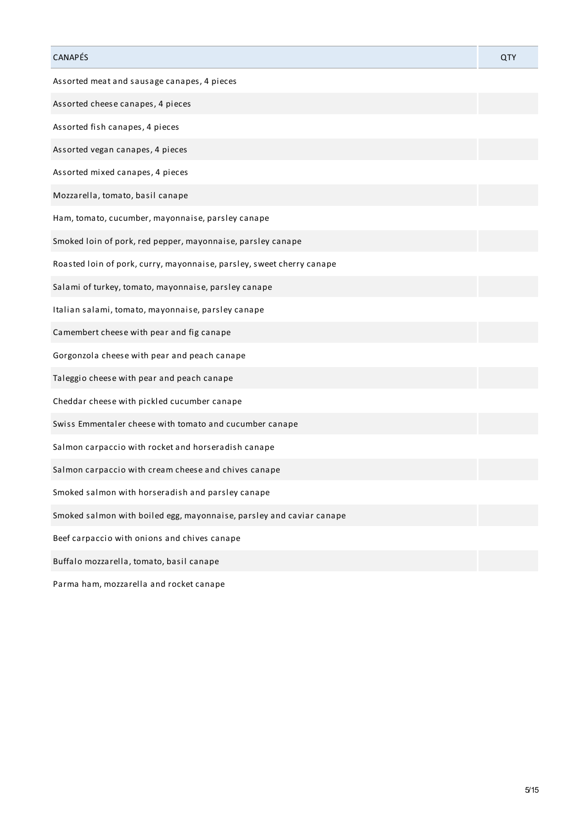| CANAPÉS                                                               | QTY |
|-----------------------------------------------------------------------|-----|
| Assorted meat and sausage canapes, 4 pieces                           |     |
| Assorted cheese canapes, 4 pieces                                     |     |
| Assorted fish canapes, 4 pieces                                       |     |
| Assorted vegan canapes, 4 pieces                                      |     |
| Assorted mixed canapes, 4 pieces                                      |     |
| Mozzarella, tomato, basil canape                                      |     |
| Ham, tomato, cucumber, mayonnaise, parsley canape                     |     |
| Smoked loin of pork, red pepper, mayonnaise, parsley canape           |     |
| Roasted loin of pork, curry, mayonnaise, parsley, sweet cherry canape |     |
| Salami of turkey, tomato, mayonnaise, parsley canape                  |     |
| Italian salami, tomato, mayonnaise, parsley canape                    |     |
| Camembert cheese with pear and fig canape                             |     |
| Gorgonzola cheese with pear and peach canape                          |     |
| Taleggio cheese with pear and peach canape                            |     |
| Cheddar cheese with pickled cucumber canape                           |     |
| Swiss Emmentaler cheese with tomato and cucumber canape               |     |
| Salmon carpaccio with rocket and horseradish canape                   |     |
| Salmon carpaccio with cream cheese and chives canape                  |     |
| Smoked salmon with horseradish and parsley canape                     |     |
| Smoked salmon with boiled egg, mayonnaise, parsley and caviar canape  |     |
| Beef carpaccio with onions and chives canape                          |     |
| Buffalo mozzarella, tomato, basil canape                              |     |
| Parma ham, mozzarella and rocket canape                               |     |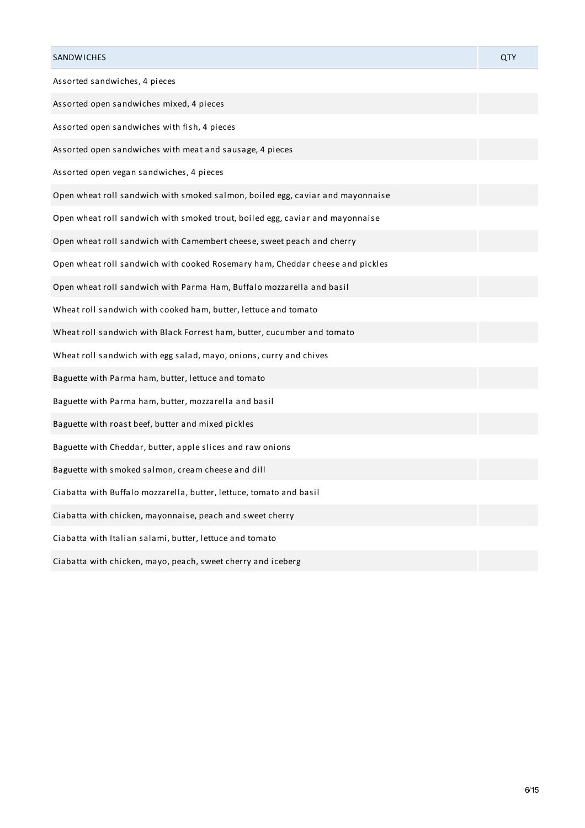| <b>SANDWICHES</b>                                                              | QTY |
|--------------------------------------------------------------------------------|-----|
| Assorted sandwiches, 4 pieces                                                  |     |
| Assorted open sandwiches mixed, 4 pieces                                       |     |
| Assorted open sandwiches with fish, 4 pieces                                   |     |
| Assorted open sandwiches with meat and sausage, 4 pieces                       |     |
| Assorted open vegan sandwiches, 4 pieces                                       |     |
| Open wheat roll sandwich with smoked salmon, boiled egg, caviar and mayonnaise |     |
| Open wheat roll sandwich with smoked trout, boiled egg, caviar and mayonnaise  |     |
| Open wheat roll sandwich with Camembert cheese, sweet peach and cherry         |     |
| Open wheat roll sandwich with cooked Rosemary ham, Cheddar cheese and pickles  |     |
| Open wheat roll sandwich with Parma Ham, Buffalo mozzarella and basil          |     |
| Wheat roll sandwich with cooked ham, butter, lettuce and tomato                |     |
| Wheat roll sandwich with Black Forrest ham, butter, cucumber and tomato        |     |
| Wheat roll sandwich with egg salad, mayo, onions, curry and chives             |     |
| Baguette with Parma ham, butter, lettuce and tomato                            |     |
| Baguette with Parma ham, butter, mozzarella and basil                          |     |
| Baguette with roast beef, butter and mixed pickles                             |     |
| Baguette with Cheddar, butter, apple slices and raw onions                     |     |
| Baguette with smoked salmon, cream cheese and dill                             |     |
| Ciabatta with Buffalo mozzarella, butter, lettuce, tomato and basil            |     |
| Ciabatta with chicken, mayonnaise, peach and sweet cherry                      |     |
| Ciabatta with Italian salami, butter, lettuce and tomato                       |     |
| Ciabatta with chicken, mayo, peach, sweet cherry and iceberg                   |     |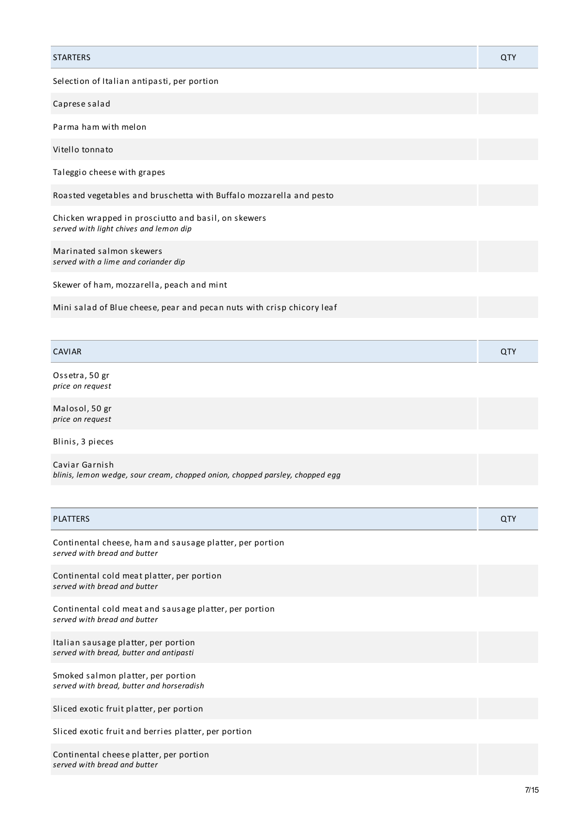| <b>STARTERS</b>                                                                               | QTY |
|-----------------------------------------------------------------------------------------------|-----|
| Selection of Italian antipasti, per portion                                                   |     |
| Caprese salad                                                                                 |     |
| Parma ham with melon                                                                          |     |
| Vitello tonnato                                                                               |     |
| Taleggio cheese with grapes                                                                   |     |
| Roasted vegetables and bruschetta with Buffalo mozzarella and pesto                           |     |
| Chicken wrapped in prosciutto and basil, on skewers<br>served with light chives and lemon dip |     |
| Marinated salmon skewers<br>served with a lime and coriander dip                              |     |
| Skewer of ham, mozzarella, peach and mint                                                     |     |
| Mini salad of Blue cheese, pear and pecan nuts with crisp chicory leaf                        |     |
|                                                                                               |     |

| <b>CAVIAR</b>  | $\alpha$ . |
|----------------|------------|
| Ossetra, 50 gr |            |

*price on request*

Malosol, 50 gr *price on request*

Blinis, 3 pieces

Caviar Garnish *blinis, lemon wedge, sour cream, chopped onion, chopped parsley, chopped egg*

| <b>PLATTERS</b>                                                                          | QTY |
|------------------------------------------------------------------------------------------|-----|
| Continental cheese, ham and sausage platter, per portion<br>served with bread and butter |     |
| Continental cold meat platter, per portion<br>served with bread and butter               |     |
| Continental cold meat and sausage platter, per portion<br>served with bread and butter   |     |
| Italian sausage platter, per portion<br>served with bread, butter and antipasti          |     |
| Smoked salmon platter, per portion<br>served with bread, butter and horseradish          |     |
| Sliced exotic fruit platter, per portion                                                 |     |
| Sliced exotic fruit and berries platter, per portion                                     |     |
| Continental cheese platter, per portion<br>served with bread and butter                  |     |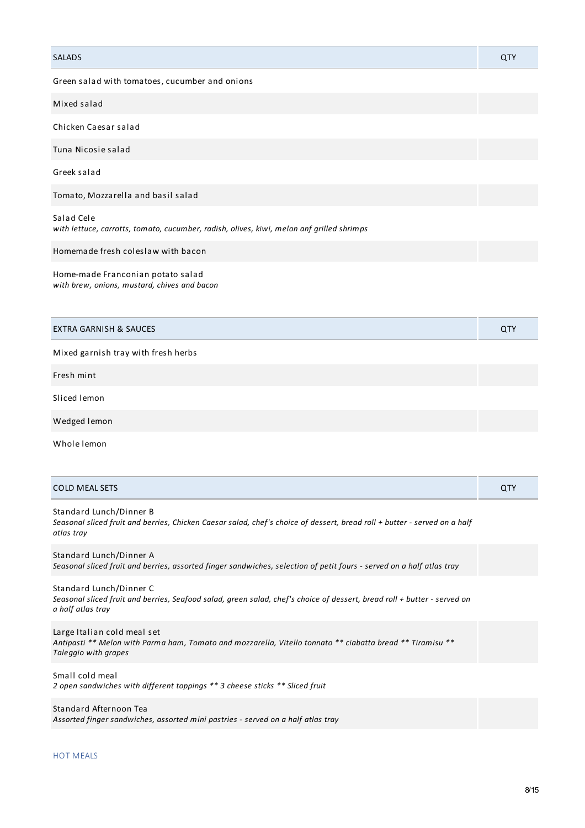| <b>SALADS</b>                                                                                                                                                      | QTY |
|--------------------------------------------------------------------------------------------------------------------------------------------------------------------|-----|
| Green salad with tomatoes, cucumber and onions                                                                                                                     |     |
| Mixed salad                                                                                                                                                        |     |
| Chicken Caesar salad                                                                                                                                               |     |
| Tuna Nicosie salad                                                                                                                                                 |     |
| Greek salad                                                                                                                                                        |     |
| Tomato, Mozzarella and basil salad                                                                                                                                 |     |
| Salad Cele<br>with lettuce, carrotts, tomato, cucumber, radish, olives, kiwi, melon anf grilled shrimps                                                            |     |
| Homemade fresh coleslaw with bacon                                                                                                                                 |     |
| Home-made Franconian potato salad<br>with brew, onions, mustard, chives and bacon                                                                                  |     |
| <b>EXTRA GARNISH &amp; SAUCES</b>                                                                                                                                  | QTY |
| Mixed garnish tray with fresh herbs                                                                                                                                |     |
| Fresh mint                                                                                                                                                         |     |
| Sliced lemon                                                                                                                                                       |     |
| Wedged lemon                                                                                                                                                       |     |
| Whole lemon                                                                                                                                                        |     |
| <b>COLD MEAL SETS</b>                                                                                                                                              | QTY |
| Standard Lunch/Dinner B<br>Seasonal sliced fruit and berries, Chicken Caesar salad, chef's choice of dessert, bread roll + butter - served on a half<br>atlas tray |     |

Standard Lunch/Dinner A Seasonal sliced fruit and berries, assorted finger sandwiches, selection of petit fours - served on a half atlas tray

Standard Lunch/Dinner C Seasonal sliced fruit and berries, Seafood salad, green salad, chef's choice of dessert, bread roll + butter - served on *a half atlas tray*

Large Italian cold meal set Antipasti \*\* Melon with Parma ham, Tomato and mozzarella, Vitello tonnato \*\* ciabatta bread \*\* Tiramisu \*\* *Taleggio with grapes*

Small cold meal *2 open sandwiches with different toppings \*\* 3 cheese sticks \*\* Sliced fruit*

Standard Afternoon Tea *Assorted finger sandwiches, assorted mini pastries - served on a half atlas tray*

#### HOT MEALS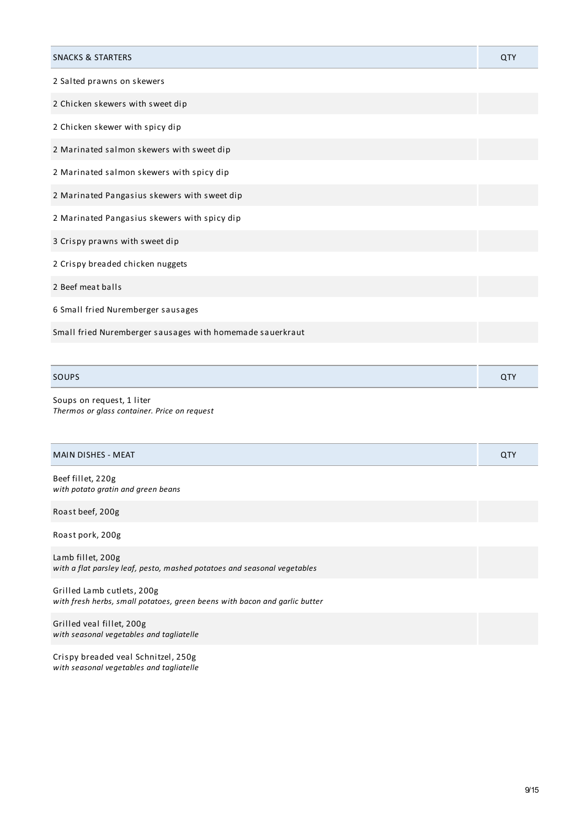| <b>SNACKS &amp; STARTERS</b>                              | QTY |
|-----------------------------------------------------------|-----|
| 2 Salted prawns on skewers                                |     |
| 2 Chicken skewers with sweet dip                          |     |
| 2 Chicken skewer with spicy dip                           |     |
| 2 Marinated salmon skewers with sweet dip                 |     |
| 2 Marinated salmon skewers with spicy dip                 |     |
| 2 Marinated Pangasius skewers with sweet dip              |     |
| 2 Marinated Pangasius skewers with spicy dip              |     |
| 3 Crispy prawns with sweet dip                            |     |
| 2 Crispy breaded chicken nuggets                          |     |
| 2 Beef meat balls                                         |     |
| 6 Small fried Nuremberger sausages                        |     |
| Small fried Nuremberger sausages with homemade sauerkraut |     |
|                                                           |     |

## SOUPS And the contract of the contract of the contract of the contract of the contract of the contract of the contract of the contract of the contract of the contract of the contract of the contract of the contract of the

Soups on request, 1 liter *Thermos or glass container. Price on request*

| <b>MAIN DISHES - MEAT</b>                                                                                | QTY |
|----------------------------------------------------------------------------------------------------------|-----|
| Beef fillet, 220g<br>with potato gratin and green beans                                                  |     |
| Roast beef, 200g                                                                                         |     |
| Roast pork, 200g                                                                                         |     |
| Lamb fillet, 200g<br>with a flat parsley leaf, pesto, mashed potatoes and seasonal vegetables            |     |
| Grilled Lamb cutlets, 200g<br>with fresh herbs, small potatoes, green beens with bacon and garlic butter |     |
| Grilled veal fillet, 200g                                                                                |     |

Crispy breaded veal Schnitzel, 250g *with seasonal vegetables and tagliatelle*

*with seasonal vegetables and tagliatelle*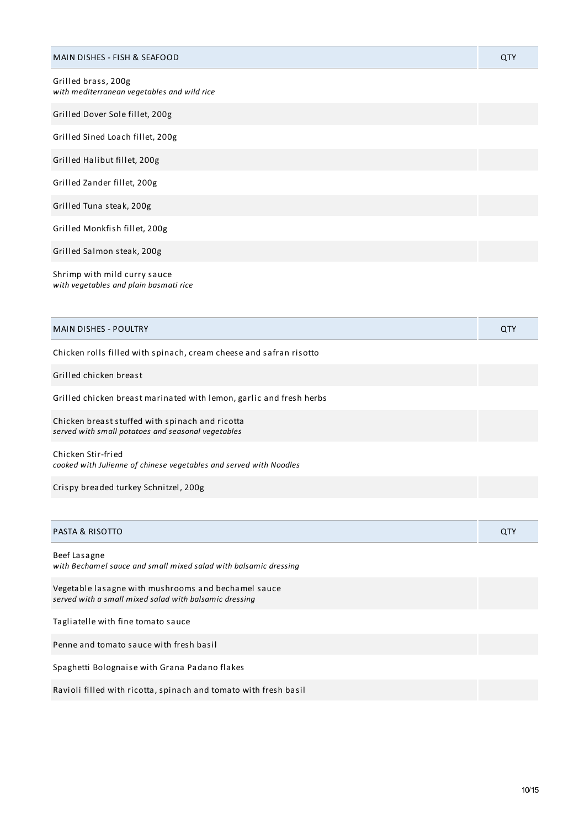| <b>MAIN DISHES - FISH &amp; SEAFOOD</b>                                                                       | QTY |
|---------------------------------------------------------------------------------------------------------------|-----|
| Grilled brass, 200g<br>with mediterranean vegetables and wild rice                                            |     |
| Grilled Dover Sole fillet, 200g                                                                               |     |
| Grilled Sined Loach fillet, 200g                                                                              |     |
| Grilled Halibut fillet, 200g                                                                                  |     |
| Grilled Zander fillet, 200g                                                                                   |     |
| Grilled Tuna steak, 200g                                                                                      |     |
| Grilled Monkfish fillet, 200g                                                                                 |     |
| Grilled Salmon steak, 200g                                                                                    |     |
| Shrimp with mild curry sauce<br>with vegetables and plain basmati rice                                        |     |
| <b>MAIN DISHES - POULTRY</b>                                                                                  | QTY |
| Chicken rolls filled with spinach, cream cheese and safran risotto                                            |     |
| Grilled chicken breast                                                                                        |     |
| Grilled chicken breast marinated with lemon, garlic and fresh herbs                                           |     |
| Chicken breast stuffed with spinach and ricotta<br>served with small potatoes and seasonal vegetables         |     |
| Chicken Stir-fried<br>cooked with Julienne of chinese vegetables and served with Noodles                      |     |
| Crispy breaded turkey Schnitzel, 200g                                                                         |     |
|                                                                                                               |     |
| <b>PASTA &amp; RISOTTO</b>                                                                                    | QTY |
| Beef Lasagne<br>with Bechamel sauce and small mixed salad with balsamic dressing                              |     |
| Vegetable lasagne with mushrooms and bechamel sauce<br>served with a small mixed salad with balsamic dressing |     |
| Tagliatelle with fine tomato sauce                                                                            |     |
| Penne and tomato sauce with fresh basil                                                                       |     |
| Spaghetti Bolognaise with Grana Padano flakes                                                                 |     |
| Ravioli filled with ricotta, spinach and tomato with fresh basil                                              |     |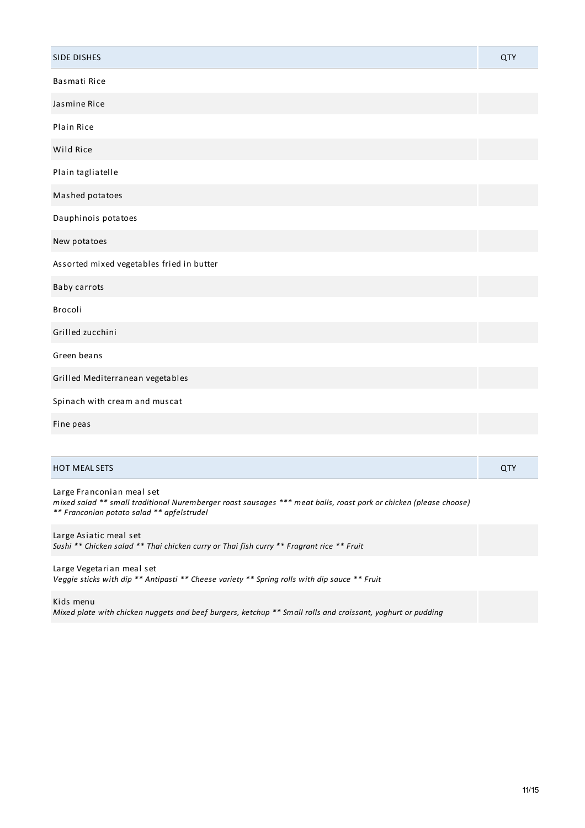| SIDE DISHES                                                                                                                                    | QTY |
|------------------------------------------------------------------------------------------------------------------------------------------------|-----|
| Basmati Rice                                                                                                                                   |     |
| Jasmine Rice                                                                                                                                   |     |
| Plain Rice                                                                                                                                     |     |
| Wild Rice                                                                                                                                      |     |
| Plain tagliatelle                                                                                                                              |     |
| Mashed potatoes                                                                                                                                |     |
| Dauphinois potatoes                                                                                                                            |     |
| New potatoes                                                                                                                                   |     |
| Assorted mixed vegetables fried in butter                                                                                                      |     |
| Baby carrots                                                                                                                                   |     |
| Brocoli                                                                                                                                        |     |
| Grilled zucchini                                                                                                                               |     |
| Green beans                                                                                                                                    |     |
| Grilled Mediterranean vegetables                                                                                                               |     |
| Spinach with cream and muscat                                                                                                                  |     |
| Fine peas                                                                                                                                      |     |
|                                                                                                                                                |     |
| HOT MEAL SETS                                                                                                                                  | QTY |
| Large Franconian meal set<br>mixed salad ** small traditional Nuremberger roast sausages *** meat balls, roast pork or chicken (please choose) |     |

*\*\* Franconian potato salad \*\* apfelstrudel*

Large Asiatic meal set *Sushi \*\* Chicken salad \*\* Thai chicken curry or Thai fish curry \*\* Fragrant rice \*\* Fruit*

Large Vegetarian meal set *Veggie sticks with dip \*\* Antipasti \*\* Cheese variety \*\* Spring rolls with dip sauce \*\* Fruit*

Kids menu

Mixed plate with chicken nuggets and beef burgers, ketchup \*\* Small rolls and croissant, yoghurt or pudding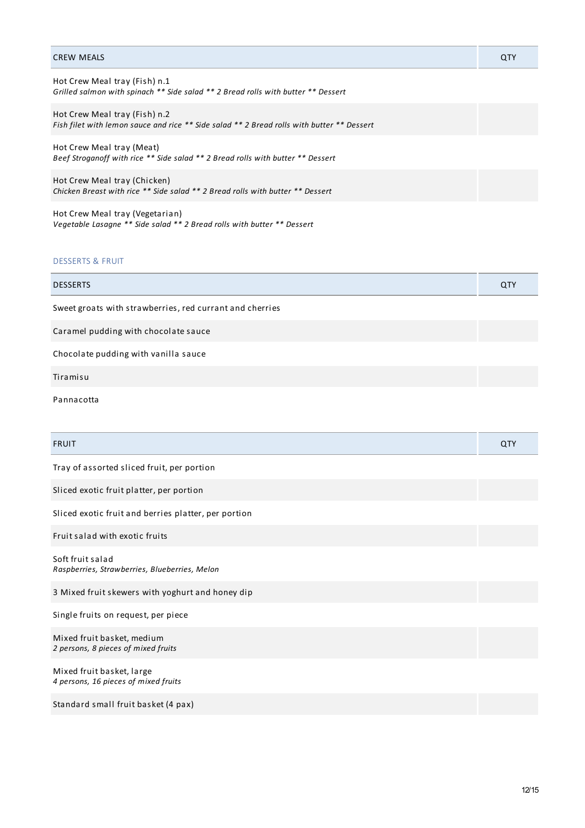| <b>CREW MEALS</b>                                                                                                           | QTY |
|-----------------------------------------------------------------------------------------------------------------------------|-----|
| Hot Crew Meal tray (Fish) n.1<br>Grilled salmon with spinach ** Side salad ** 2 Bread rolls with butter ** Dessert          |     |
| Hot Crew Meal tray (Fish) n.2<br>Fish filet with lemon sauce and rice ** Side salad ** 2 Bread rolls with butter ** Dessert |     |
| Hot Crew Meal tray (Meat)<br>Beef Stroganoff with rice ** Side salad ** 2 Bread rolls with butter ** Dessert                |     |
| Hot Crew Meal tray (Chicken)<br>Chicken Breast with rice ** Side salad ** 2 Bread rolls with butter ** Dessert              |     |
| Hot Crew Meal tray (Vegetarian)                                                                                             |     |

# DESSERTS & FRUIT

*Vegetable Lasagne \*\* Side salad \*\* 2 Bread rolls with butter \*\* Dessert*

| <b>DESSERTS</b>                                          | QTY |
|----------------------------------------------------------|-----|
| Sweet groats with strawberries, red currant and cherries |     |
| Caramel pudding with chocolate sauce                     |     |
| Chocolate pudding with vanilla sauce                     |     |
| Tiramisu                                                 |     |
| Pannacotta                                               |     |
|                                                          |     |
| <b>FRUIT</b>                                             | QTY |
| Tray of assorted sliced fruit, per portion               |     |
| Sliced exotic fruit platter, per portion                 |     |
| Sliced exotic fruit and berries platter, per portion     |     |
| Fruit salad with exotic fruits                           |     |

Soft fruit salad *Raspberries, Strawberries, Blueberries, Melon*

3 Mixed fruit skewers with yoghurt and honey dip

Single fruits on request, per piece

Mixed fruit basket, medium *2 persons, 8 pieces of mixed fruits*

Mixed fruit basket, large *4 persons, 16 pieces of mixed fruits*

Standard small fruit basket (4 pax)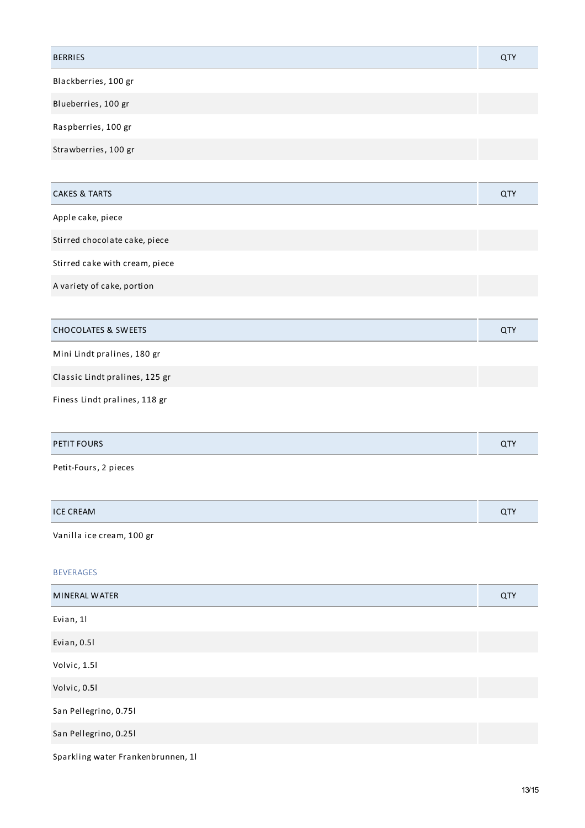| <b>BERRIES</b>                     | QTY |
|------------------------------------|-----|
| Blackberries, 100 gr               |     |
| Blueberries, 100 gr                |     |
| Raspberries, 100 gr                |     |
| Strawberries, 100 gr               |     |
|                                    |     |
| <b>CAKES &amp; TARTS</b>           | QTY |
| Apple cake, piece                  |     |
| Stirred chocolate cake, piece      |     |
| Stirred cake with cream, piece     |     |
| A variety of cake, portion         |     |
|                                    |     |
| <b>CHOCOLATES &amp; SWEETS</b>     | QTY |
| Mini Lindt pralines, 180 gr        |     |
| Classic Lindt pralines, 125 gr     |     |
| Finess Lindt pralines, 118 gr      |     |
|                                    |     |
| PETIT FOURS                        | QTY |
| Petit-Fours, 2 pieces              |     |
|                                    |     |
| <b>ICE CREAM</b>                   | QTY |
| Vanilla ice cream, 100 gr          |     |
| <b>BEVERAGES</b>                   |     |
| MINERAL WATER                      | QTY |
| Evian, 1l                          |     |
| Evian, 0.51                        |     |
| Volvic, 1.51                       |     |
| Volvic, 0.51                       |     |
| San Pellegrino, 0.751              |     |
| San Pellegrino, 0.251              |     |
| Sparkling water Frankenbrunnen, 11 |     |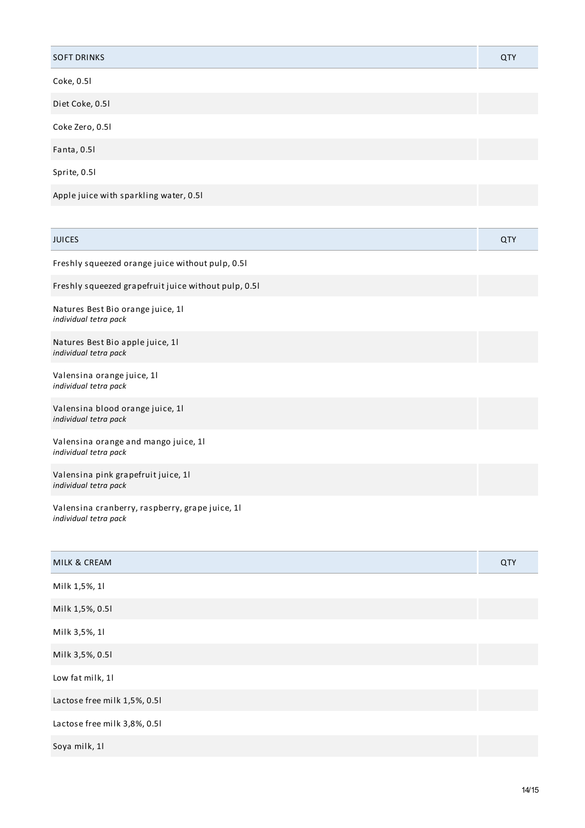| <b>SOFT DRINKS</b>                                            | QTY        |
|---------------------------------------------------------------|------------|
| Coke, 0.51                                                    |            |
| Diet Coke, 0.51                                               |            |
| Coke Zero, 0.51                                               |            |
| Fanta, 0.51                                                   |            |
| Sprite, 0.51                                                  |            |
| Apple juice with sparkling water, 0.51                        |            |
|                                                               |            |
| <b>JUICES</b>                                                 | <b>QTY</b> |
| Freshly squeezed orange juice without pulp, 0.51              |            |
| Freshly squeezed grapefruit juice without pulp, 0.51          |            |
| Natures Best Bio orange juice, 1l<br>individual tetra pack    |            |
| Natures Best Bio apple juice, 1l<br>individual tetra pack     |            |
| Valensina orange juice, 11<br>individual tetra pack           |            |
| Valensina blood orange juice, 11<br>individual tetra pack     |            |
| Valensina orange and mango juice, 11<br>individual tetra pack |            |
| Valensina pink grapefruit juice, 11<br>individual tetra pack  |            |

Valensina cranberry, raspberry, grape juice, 1l *individual tetra pack*

| MILK & CREAM                 | QTY |
|------------------------------|-----|
| Milk 1,5%, 1l                |     |
| Milk 1,5%, 0.51              |     |
| Milk 3,5%, 1l                |     |
| Milk 3,5%, 0.51              |     |
| Low fat milk, 1l             |     |
| Lactose free milk 1,5%, 0.5l |     |
| Lactose free milk 3,8%, 0.51 |     |
| Soya milk, 11                |     |